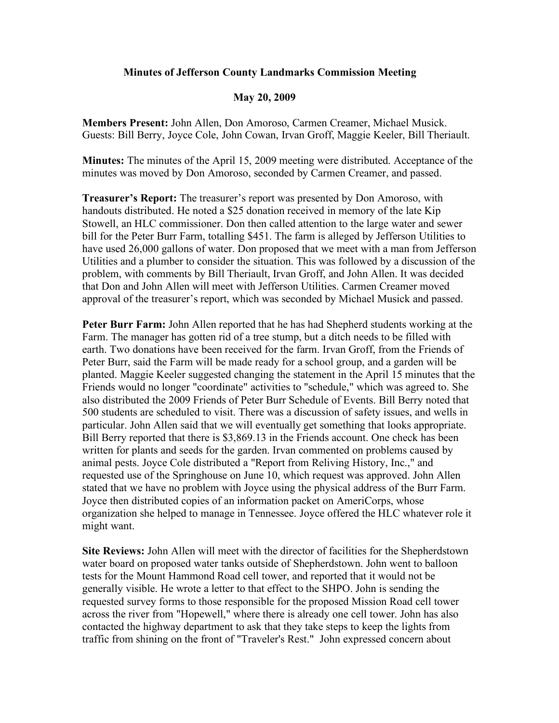## **Minutes of Jefferson County Landmarks Commission Meeting**

## **May 20, 2009**

**Members Present:** John Allen, Don Amoroso, Carmen Creamer, Michael Musick. Guests: Bill Berry, Joyce Cole, John Cowan, Irvan Groff, Maggie Keeler, Bill Theriault.

**Minutes:** The minutes of the April 15, 2009 meeting were distributed. Acceptance of the minutes was moved by Don Amoroso, seconded by Carmen Creamer, and passed.

**Treasurer's Report:** The treasurer's report was presented by Don Amoroso, with handouts distributed. He noted a \$25 donation received in memory of the late Kip Stowell, an HLC commissioner. Don then called attention to the large water and sewer bill for the Peter Burr Farm, totalling \$451. The farm is alleged by Jefferson Utilities to have used 26,000 gallons of water. Don proposed that we meet with a man from Jefferson Utilities and a plumber to consider the situation. This was followed by a discussion of the problem, with comments by Bill Theriault, Irvan Groff, and John Allen. It was decided that Don and John Allen will meet with Jefferson Utilities. Carmen Creamer moved approval of the treasurer's report, which was seconded by Michael Musick and passed.

**Peter Burr Farm:** John Allen reported that he has had Shepherd students working at the Farm. The manager has gotten rid of a tree stump, but a ditch needs to be filled with earth. Two donations have been received for the farm. Irvan Groff, from the Friends of Peter Burr, said the Farm will be made ready for a school group, and a garden will be planted. Maggie Keeler suggested changing the statement in the April 15 minutes that the Friends would no longer "coordinate" activities to "schedule," which was agreed to. She also distributed the 2009 Friends of Peter Burr Schedule of Events. Bill Berry noted that 500 students are scheduled to visit. There was a discussion of safety issues, and wells in particular. John Allen said that we will eventually get something that looks appropriate. Bill Berry reported that there is \$3,869.13 in the Friends account. One check has been written for plants and seeds for the garden. Irvan commented on problems caused by animal pests. Joyce Cole distributed a "Report from Reliving History, Inc.," and requested use of the Springhouse on June 10, which request was approved. John Allen stated that we have no problem with Joyce using the physical address of the Burr Farm. Joyce then distributed copies of an information packet on AmeriCorps, whose organization she helped to manage in Tennessee. Joyce offered the HLC whatever role it might want.

**Site Reviews:** John Allen will meet with the director of facilities for the Shepherdstown water board on proposed water tanks outside of Shepherdstown. John went to balloon tests for the Mount Hammond Road cell tower, and reported that it would not be generally visible. He wrote a letter to that effect to the SHPO. John is sending the requested survey forms to those responsible for the proposed Mission Road cell tower across the river from "Hopewell," where there is already one cell tower. John has also contacted the highway department to ask that they take steps to keep the lights from traffic from shining on the front of "Traveler's Rest." John expressed concern about